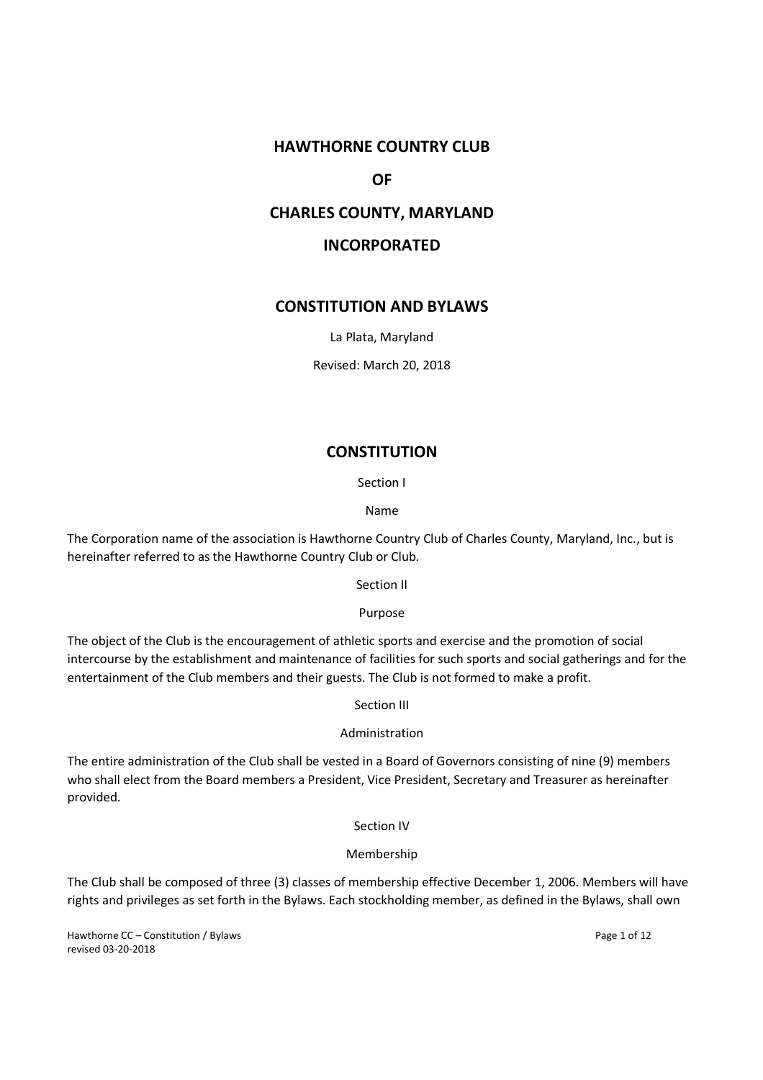# **HAWTHORNE COUNTRY CLUB**

## **OF**

## **CHARLES COUNTY, MARYLAND**

# **INCORPORATED**

## **CONSTITUTION AND BYLAWS**

La Plata, Maryland

Revised: March 20, 2018

## **CONSTITUTION**

Section I

Name

The Corporation name of the association is Hawthorne Country Club of Charles County, Maryland, Inc., but is hereinafter referred to as the Hawthorne Country Club or Club.

Section II

Purpose

The object of the Club is the encouragement of athletic sports and exercise and the promotion of social intercourse by the establishment and maintenance of facilities for such sports and social gatherings and for the entertainment of the Club members and their guests. The Club is not formed to make a profit.

Section III

Administration

The entire administration of the Club shall be vested in a Board of Governors consisting of nine (9) members who shall elect from the Board members a President, Vice President, Secretary and Treasurer as hereinafter provided.

Section IV

#### Membership

The Club shall be composed of three (3) classes of membership effective December 1, 2006. Members will have rights and privileges as set forth in the Bylaws. Each stockholding member, as defined in the Bylaws, shall own

Hawthorne CC – Constitution / Bylaws Page 1 of 12 revised 03-20-2018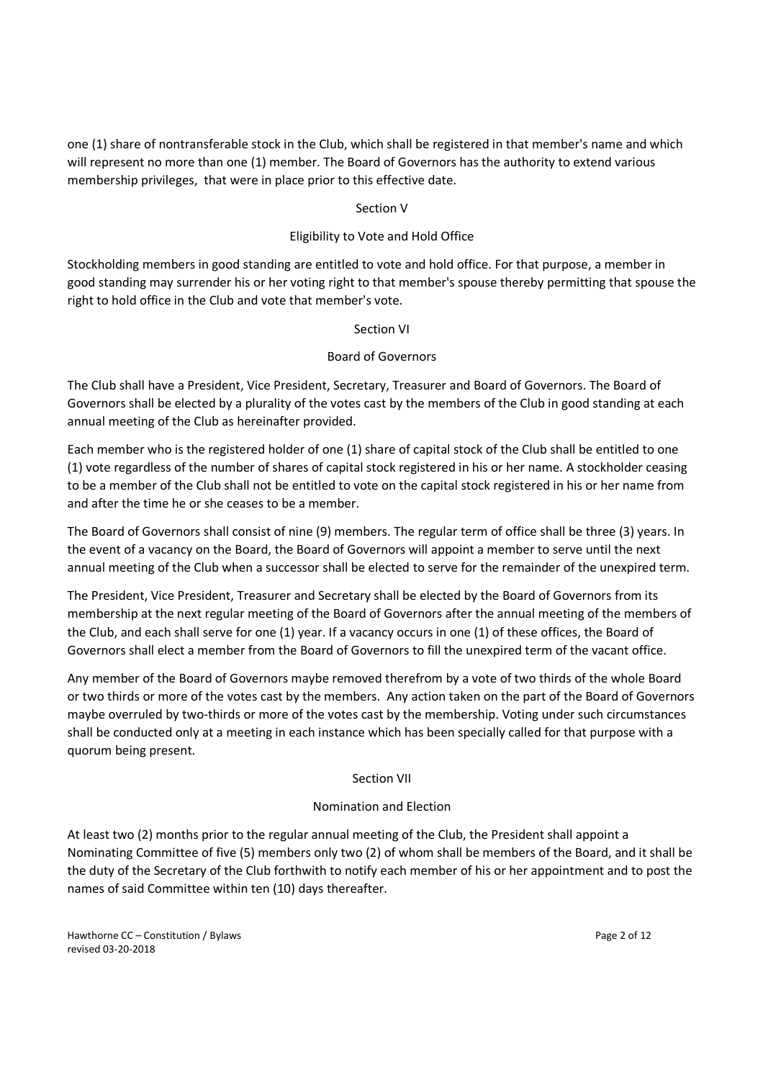one (1) share of nontransferable stock in the Club, which shall be registered in that member's name and which will represent no more than one (1) member. The Board of Governors has the authority to extend various membership privileges, that were in place prior to this effective date.

## Section V

## Eligibility to Vote and Hold Office

Stockholding members in good standing are entitled to vote and hold office. For that purpose, a member in good standing may surrender his or her voting right to that member's spouse thereby permitting that spouse the right to hold office in the Club and vote that member's vote.

## Section VI

## Board of Governors

The Club shall have a President, Vice President, Secretary, Treasurer and Board of Governors. The Board of Governors shall be elected by a plurality of the votes cast by the members of the Club in good standing at each annual meeting of the Club as hereinafter provided.

Each member who is the registered holder of one (1) share of capital stock of the Club shall be entitled to one (1) vote regardless of the number of shares of capital stock registered in his or her name. A stockholder ceasing to be a member of the Club shall not be entitled to vote on the capital stock registered in his or her name from and after the time he or she ceases to be a member.

The Board of Governors shall consist of nine (9) members. The regular term of office shall be three (3) years. In the event of a vacancy on the Board, the Board of Governors will appoint a member to serve until the next annual meeting of the Club when a successor shall be elected to serve for the remainder of the unexpired term.

The President, Vice President, Treasurer and Secretary shall be elected by the Board of Governors from its membership at the next regular meeting of the Board of Governors after the annual meeting of the members of the Club, and each shall serve for one (1) year. If a vacancy occurs in one (1) of these offices, the Board of Governors shall elect a member from the Board of Governors to fill the unexpired term of the vacant office.

Any member of the Board of Governors maybe removed therefrom by a vote of two thirds of the whole Board or two thirds or more of the votes cast by the members. Any action taken on the part of the Board of Governors maybe overruled by two-thirds or more of the votes cast by the membership. Voting under such circumstances shall be conducted only at a meeting in each instance which has been specially called for that purpose with a quorum being present.

# Section VII

## Nomination and Election

At least two (2) months prior to the regular annual meeting of the Club, the President shall appoint a Nominating Committee of five (5) members only two (2) of whom shall be members of the Board, and it shall be the duty of the Secretary of the Club forthwith to notify each member of his or her appointment and to post the names of said Committee within ten (10) days thereafter.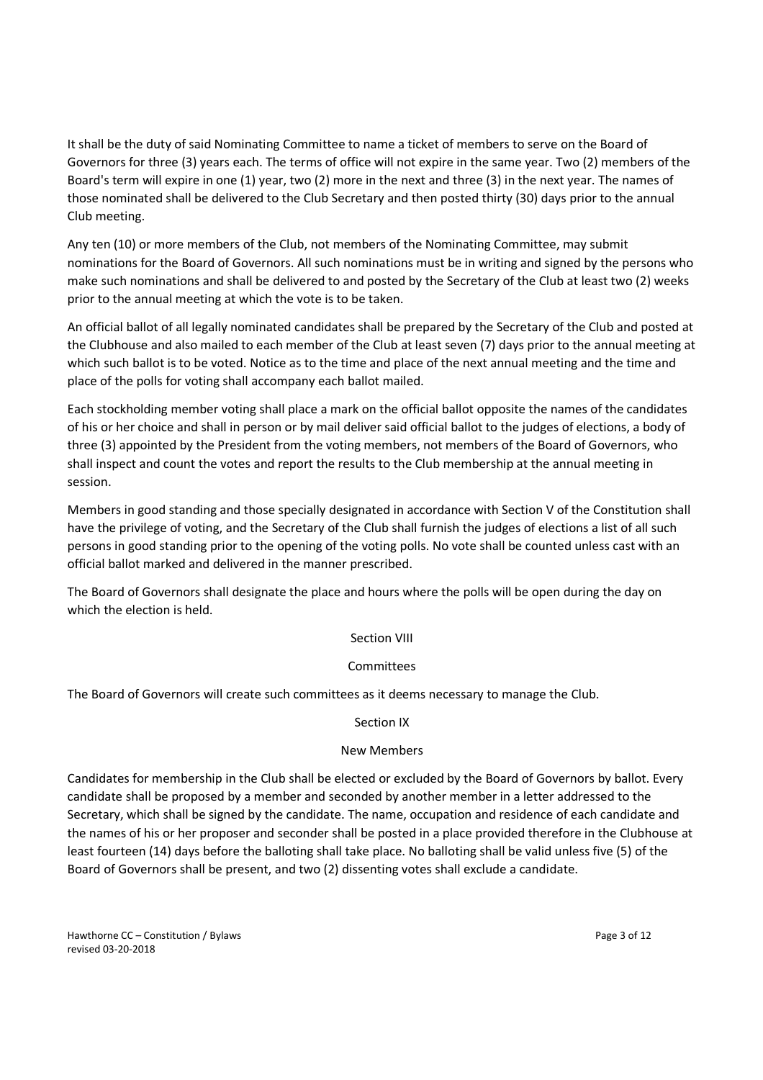It shall be the duty of said Nominating Committee to name a ticket of members to serve on the Board of Governors for three (3) years each. The terms of office will not expire in the same year. Two (2) members of the Board's term will expire in one (1) year, two (2) more in the next and three (3) in the next year. The names of those nominated shall be delivered to the Club Secretary and then posted thirty (30) days prior to the annual Club meeting.

Any ten (10) or more members of the Club, not members of the Nominating Committee, may submit nominations for the Board of Governors. All such nominations must be in writing and signed by the persons who make such nominations and shall be delivered to and posted by the Secretary of the Club at least two (2) weeks prior to the annual meeting at which the vote is to be taken.

An official ballot of all legally nominated candidates shall be prepared by the Secretary of the Club and posted at the Clubhouse and also mailed to each member of the Club at least seven (7) days prior to the annual meeting at which such ballot is to be voted. Notice as to the time and place of the next annual meeting and the time and place of the polls for voting shall accompany each ballot mailed.

Each stockholding member voting shall place a mark on the official ballot opposite the names of the candidates of his or her choice and shall in person or by mail deliver said official ballot to the judges of elections, a body of three (3) appointed by the President from the voting members, not members of the Board of Governors, who shall inspect and count the votes and report the results to the Club membership at the annual meeting in session.

Members in good standing and those specially designated in accordance with Section V of the Constitution shall have the privilege of voting, and the Secretary of the Club shall furnish the judges of elections a list of all such persons in good standing prior to the opening of the voting polls. No vote shall be counted unless cast with an official ballot marked and delivered in the manner prescribed.

The Board of Governors shall designate the place and hours where the polls will be open during the day on which the election is held.

# Section VIII

## Committees

The Board of Governors will create such committees as it deems necessary to manage the Club.

## Section IX

## New Members

Candidates for membership in the Club shall be elected or excluded by the Board of Governors by ballot. Every candidate shall be proposed by a member and seconded by another member in a letter addressed to the Secretary, which shall be signed by the candidate. The name, occupation and residence of each candidate and the names of his or her proposer and seconder shall be posted in a place provided therefore in the Clubhouse at least fourteen (14) days before the balloting shall take place. No balloting shall be valid unless five (5) of the Board of Governors shall be present, and two (2) dissenting votes shall exclude a candidate.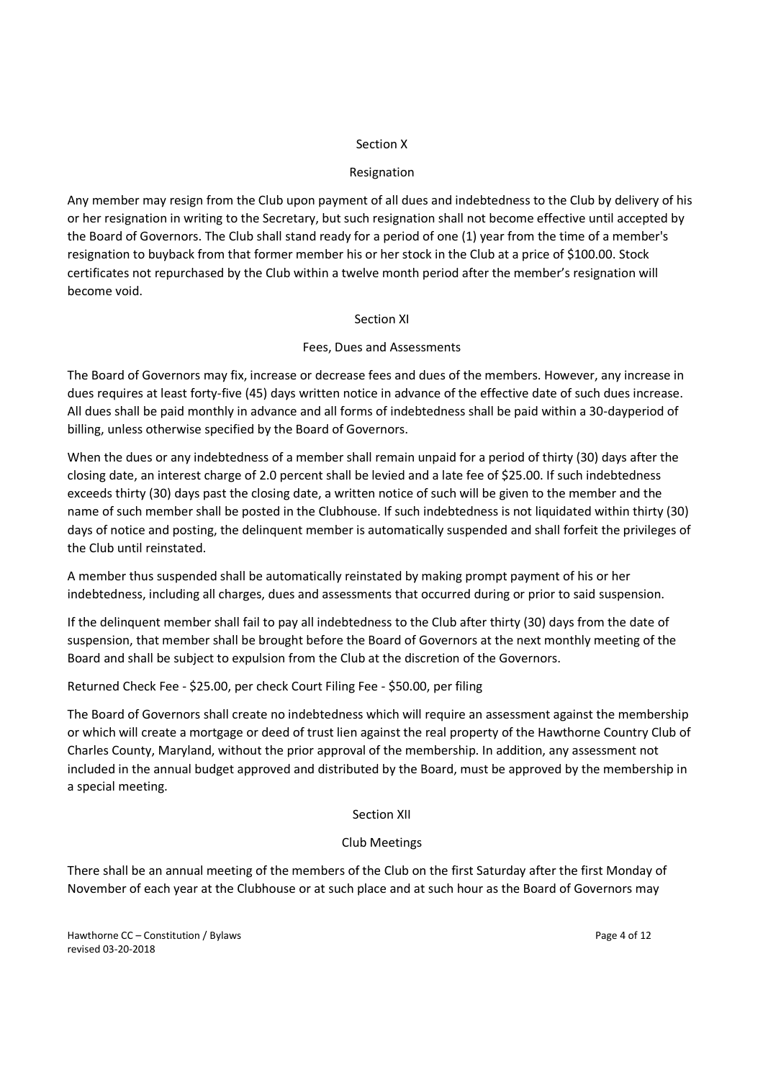## Section X

## Resignation

Any member may resign from the Club upon payment of all dues and indebtedness to the Club by delivery of his or her resignation in writing to the Secretary, but such resignation shall not become effective until accepted by the Board of Governors. The Club shall stand ready for a period of one (1) year from the time of a member's resignation to buyback from that former member his or her stock in the Club at a price of \$100.00. Stock certificates not repurchased by the Club within a twelve month period after the member's resignation will become void.

## Section XI

## Fees, Dues and Assessments

The Board of Governors may fix, increase or decrease fees and dues of the members. However, any increase in dues requires at least forty-five (45) days written notice in advance of the effective date of such dues increase. All dues shall be paid monthly in advance and all forms of indebtedness shall be paid within a 30-dayperiod of billing, unless otherwise specified by the Board of Governors.

When the dues or any indebtedness of a member shall remain unpaid for a period of thirty (30) days after the closing date, an interest charge of 2.0 percent shall be levied and a late fee of \$25.00. If such indebtedness exceeds thirty (30) days past the closing date, a written notice of such will be given to the member and the name of such member shall be posted in the Clubhouse. If such indebtedness is not liquidated within thirty (30) days of notice and posting, the delinquent member is automatically suspended and shall forfeit the privileges of the Club until reinstated.

A member thus suspended shall be automatically reinstated by making prompt payment of his or her indebtedness, including all charges, dues and assessments that occurred during or prior to said suspension.

If the delinquent member shall fail to pay all indebtedness to the Club after thirty (30) days from the date of suspension, that member shall be brought before the Board of Governors at the next monthly meeting of the Board and shall be subject to expulsion from the Club at the discretion of the Governors.

Returned Check Fee - \$25.00, per check Court Filing Fee - \$50.00, per filing

The Board of Governors shall create no indebtedness which will require an assessment against the membership or which will create a mortgage or deed of trust lien against the real property of the Hawthorne Country Club of Charles County, Maryland, without the prior approval of the membership. In addition, any assessment not included in the annual budget approved and distributed by the Board, must be approved by the membership in a special meeting.

Section XII

# Club Meetings

There shall be an annual meeting of the members of the Club on the first Saturday after the first Monday of November of each year at the Clubhouse or at such place and at such hour as the Board of Governors may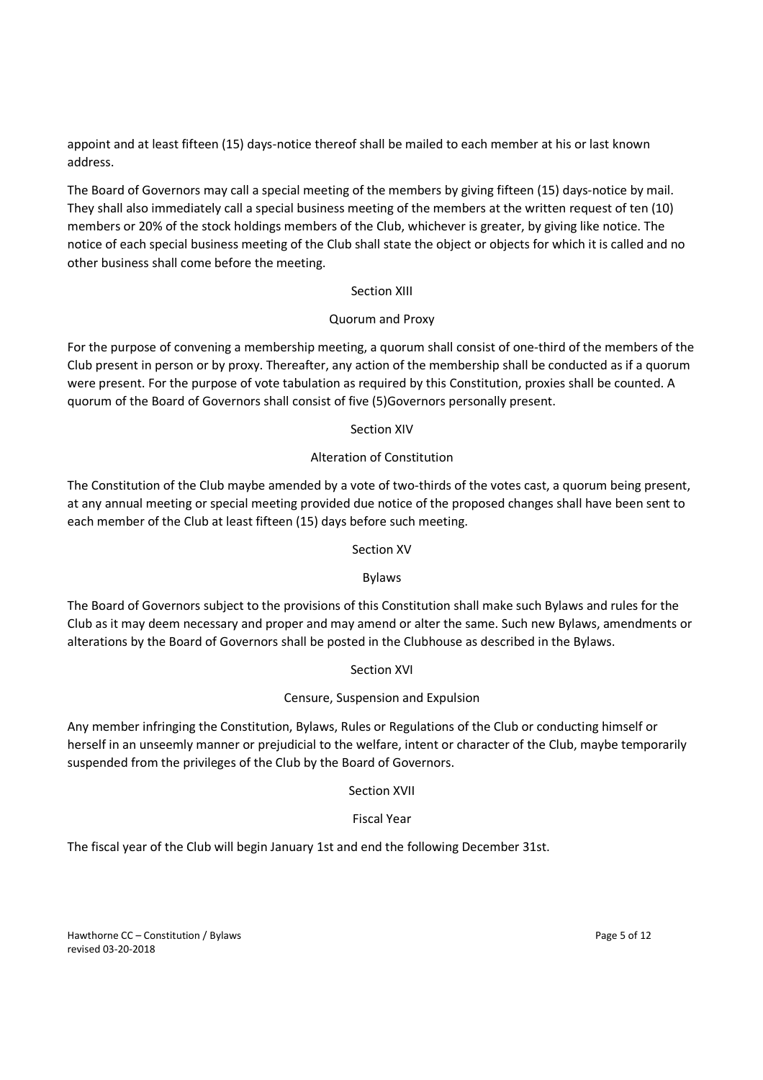appoint and at least fifteen (15) days-notice thereof shall be mailed to each member at his or last known address.

The Board of Governors may call a special meeting of the members by giving fifteen (15) days-notice by mail. They shall also immediately call a special business meeting of the members at the written request of ten (10) members or 20% of the stock holdings members of the Club, whichever is greater, by giving like notice. The notice of each special business meeting of the Club shall state the object or objects for which it is called and no other business shall come before the meeting.

## Section XIII

# Quorum and Proxy

For the purpose of convening a membership meeting, a quorum shall consist of one-third of the members of the Club present in person or by proxy. Thereafter, any action of the membership shall be conducted as if a quorum were present. For the purpose of vote tabulation as required by this Constitution, proxies shall be counted. A quorum of the Board of Governors shall consist of five (5)Governors personally present.

# Section XIV

# Alteration of Constitution

The Constitution of the Club maybe amended by a vote of two-thirds of the votes cast, a quorum being present, at any annual meeting or special meeting provided due notice of the proposed changes shall have been sent to each member of the Club at least fifteen (15) days before such meeting.

# Section XV

# Bylaws

The Board of Governors subject to the provisions of this Constitution shall make such Bylaws and rules for the Club as it may deem necessary and proper and may amend or alter the same. Such new Bylaws, amendments or alterations by the Board of Governors shall be posted in the Clubhouse as described in the Bylaws.

# Section XVI

# Censure, Suspension and Expulsion

Any member infringing the Constitution, Bylaws, Rules or Regulations of the Club or conducting himself or herself in an unseemly manner or prejudicial to the welfare, intent or character of the Club, maybe temporarily suspended from the privileges of the Club by the Board of Governors.

## Section XVII

# Fiscal Year

The fiscal year of the Club will begin January 1st and end the following December 31st.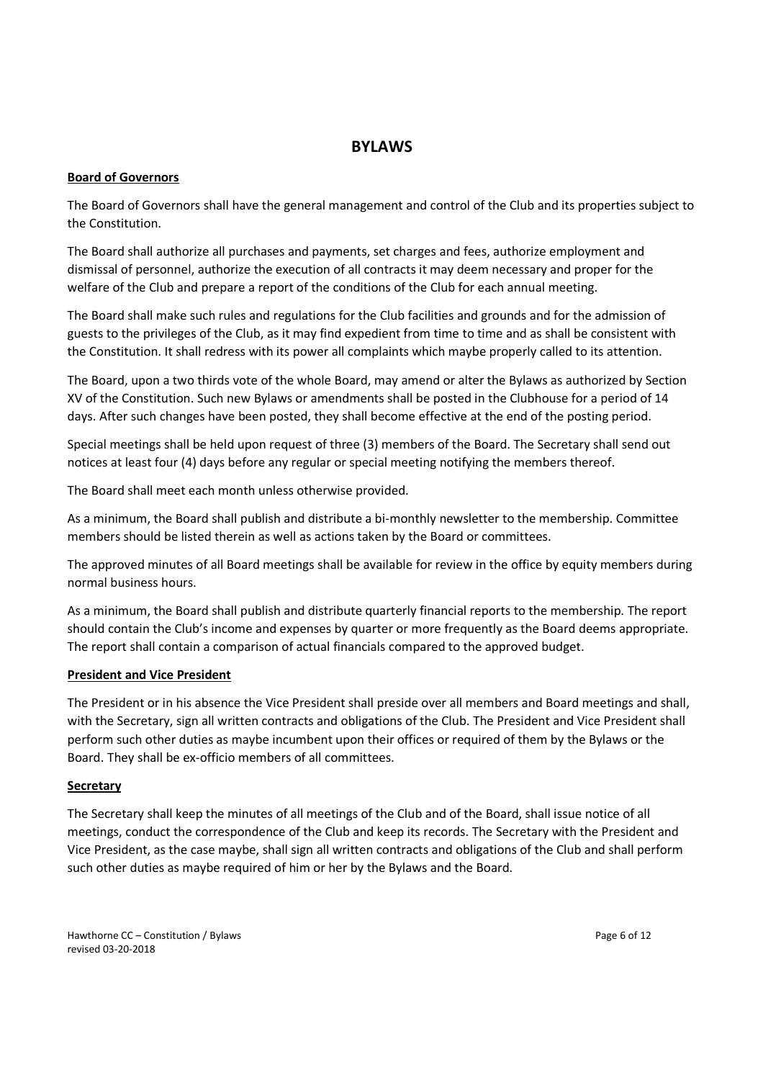# **BYLAWS**

## **Board of Governors**

The Board of Governors shall have the general management and control of the Club and its properties subject to the Constitution.

The Board shall authorize all purchases and payments, set charges and fees, authorize employment and dismissal of personnel, authorize the execution of all contracts it may deem necessary and proper for the welfare of the Club and prepare a report of the conditions of the Club for each annual meeting.

The Board shall make such rules and regulations for the Club facilities and grounds and for the admission of guests to the privileges of the Club, as it may find expedient from time to time and as shall be consistent with the Constitution. It shall redress with its power all complaints which maybe properly called to its attention.

The Board, upon a two thirds vote of the whole Board, may amend or alter the Bylaws as authorized by Section XV of the Constitution. Such new Bylaws or amendments shall be posted in the Clubhouse for a period of 14 days. After such changes have been posted, they shall become effective at the end of the posting period.

Special meetings shall be held upon request of three (3) members of the Board. The Secretary shall send out notices at least four (4) days before any regular or special meeting notifying the members thereof.

The Board shall meet each month unless otherwise provided.

As a minimum, the Board shall publish and distribute a bi-monthly newsletter to the membership. Committee members should be listed therein as well as actions taken by the Board or committees.

The approved minutes of all Board meetings shall be available for review in the office by equity members during normal business hours.

As a minimum, the Board shall publish and distribute quarterly financial reports to the membership. The report should contain the Club's income and expenses by quarter or more frequently as the Board deems appropriate. The report shall contain a comparison of actual financials compared to the approved budget.

## **President and Vice President**

The President or in his absence the Vice President shall preside over all members and Board meetings and shall, with the Secretary, sign all written contracts and obligations of the Club. The President and Vice President shall perform such other duties as maybe incumbent upon their offices or required of them by the Bylaws or the Board. They shall be ex-officio members of all committees.

## **Secretary**

The Secretary shall keep the minutes of all meetings of the Club and of the Board, shall issue notice of all meetings, conduct the correspondence of the Club and keep its records. The Secretary with the President and Vice President, as the case maybe, shall sign all written contracts and obligations of the Club and shall perform such other duties as maybe required of him or her by the Bylaws and the Board.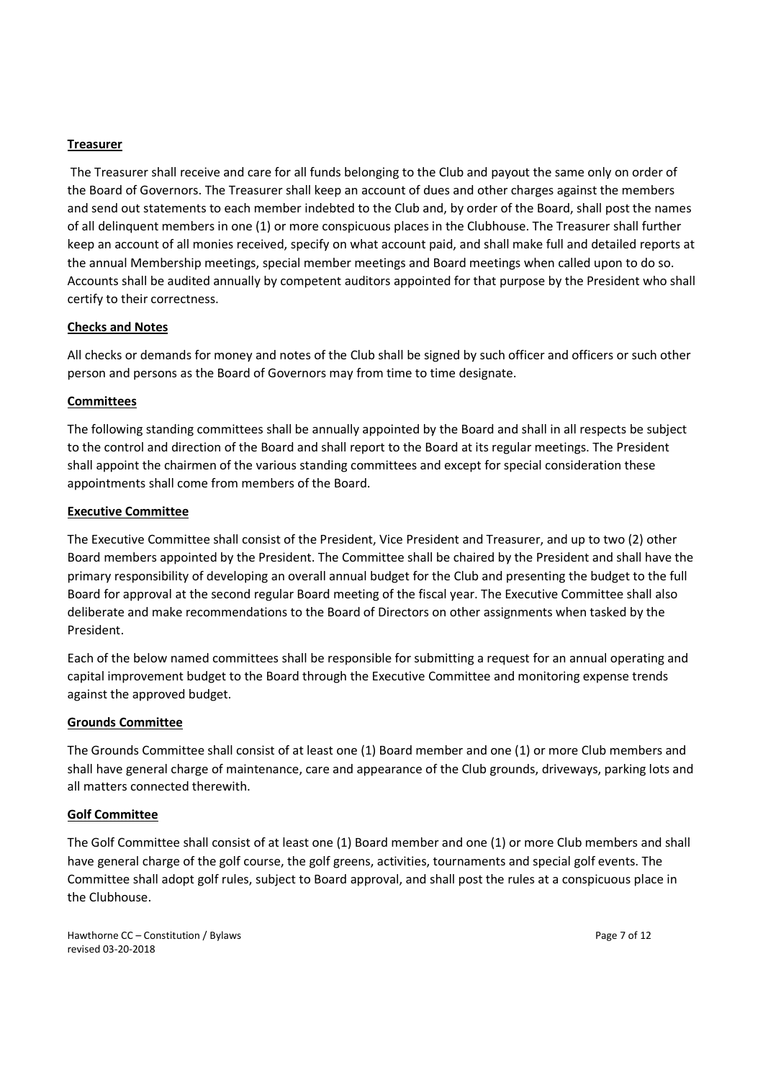## **Treasurer**

The Treasurer shall receive and care for all funds belonging to the Club and payout the same only on order of the Board of Governors. The Treasurer shall keep an account of dues and other charges against the members and send out statements to each member indebted to the Club and, by order of the Board, shall post the names of all delinquent members in one (1) or more conspicuous places in the Clubhouse. The Treasurer shall further keep an account of all monies received, specify on what account paid, and shall make full and detailed reports at the annual Membership meetings, special member meetings and Board meetings when called upon to do so. Accounts shall be audited annually by competent auditors appointed for that purpose by the President who shall certify to their correctness.

#### **Checks and Notes**

All checks or demands for money and notes of the Club shall be signed by such officer and officers or such other person and persons as the Board of Governors may from time to time designate.

#### **Committees**

The following standing committees shall be annually appointed by the Board and shall in all respects be subject to the control and direction of the Board and shall report to the Board at its regular meetings. The President shall appoint the chairmen of the various standing committees and except for special consideration these appointments shall come from members of the Board.

#### **Executive Committee**

The Executive Committee shall consist of the President, Vice President and Treasurer, and up to two (2) other Board members appointed by the President. The Committee shall be chaired by the President and shall have the primary responsibility of developing an overall annual budget for the Club and presenting the budget to the full Board for approval at the second regular Board meeting of the fiscal year. The Executive Committee shall also deliberate and make recommendations to the Board of Directors on other assignments when tasked by the President.

Each of the below named committees shall be responsible for submitting a request for an annual operating and capital improvement budget to the Board through the Executive Committee and monitoring expense trends against the approved budget.

#### **Grounds Committee**

The Grounds Committee shall consist of at least one (1) Board member and one (1) or more Club members and shall have general charge of maintenance, care and appearance of the Club grounds, driveways, parking lots and all matters connected therewith.

## **Golf Committee**

The Golf Committee shall consist of at least one (1) Board member and one (1) or more Club members and shall have general charge of the golf course, the golf greens, activities, tournaments and special golf events. The Committee shall adopt golf rules, subject to Board approval, and shall post the rules at a conspicuous place in the Clubhouse.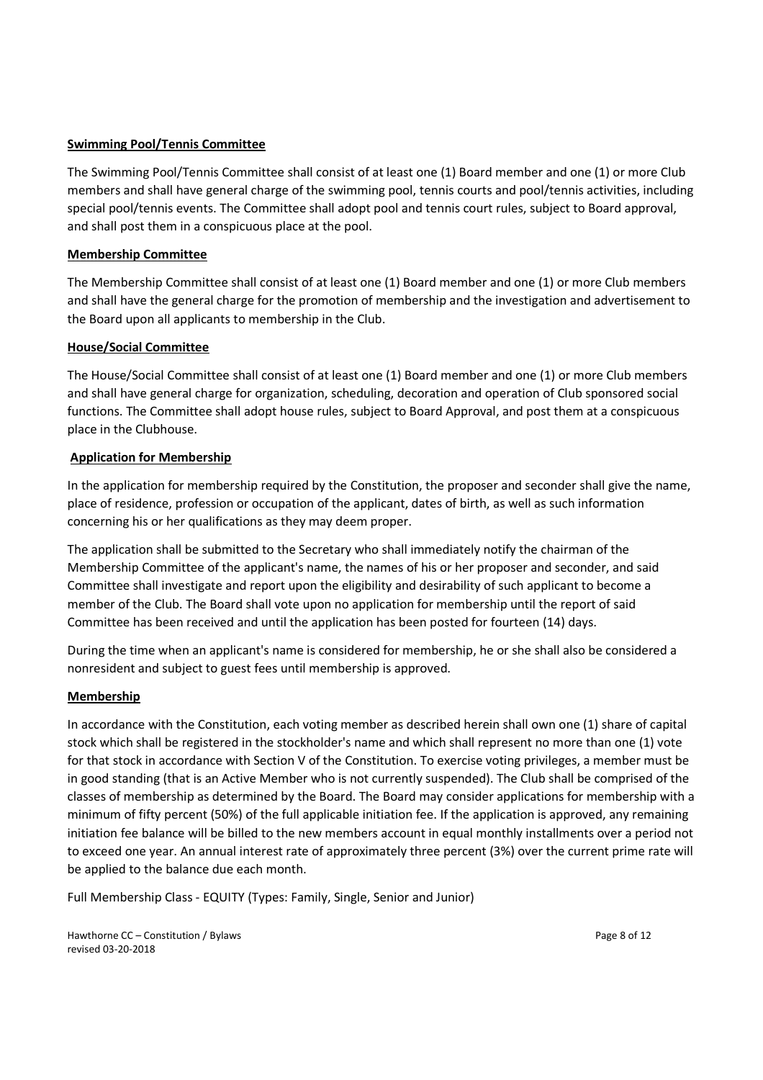## **Swimming Pool/Tennis Committee**

The Swimming Pool/Tennis Committee shall consist of at least one (1) Board member and one (1) or more Club members and shall have general charge of the swimming pool, tennis courts and pool/tennis activities, including special pool/tennis events. The Committee shall adopt pool and tennis court rules, subject to Board approval, and shall post them in a conspicuous place at the pool.

## **Membership Committee**

The Membership Committee shall consist of at least one (1) Board member and one (1) or more Club members and shall have the general charge for the promotion of membership and the investigation and advertisement to the Board upon all applicants to membership in the Club.

## **House/Social Committee**

The House/Social Committee shall consist of at least one (1) Board member and one (1) or more Club members and shall have general charge for organization, scheduling, decoration and operation of Club sponsored social functions. The Committee shall adopt house rules, subject to Board Approval, and post them at a conspicuous place in the Clubhouse.

## **Application for Membership**

In the application for membership required by the Constitution, the proposer and seconder shall give the name, place of residence, profession or occupation of the applicant, dates of birth, as well as such information concerning his or her qualifications as they may deem proper.

The application shall be submitted to the Secretary who shall immediately notify the chairman of the Membership Committee of the applicant's name, the names of his or her proposer and seconder, and said Committee shall investigate and report upon the eligibility and desirability of such applicant to become a member of the Club. The Board shall vote upon no application for membership until the report of said Committee has been received and until the application has been posted for fourteen (14) days.

During the time when an applicant's name is considered for membership, he or she shall also be considered a nonresident and subject to guest fees until membership is approved.

## **Membership**

In accordance with the Constitution, each voting member as described herein shall own one (1) share of capital stock which shall be registered in the stockholder's name and which shall represent no more than one (1) vote for that stock in accordance with Section V of the Constitution. To exercise voting privileges, a member must be in good standing (that is an Active Member who is not currently suspended). The Club shall be comprised of the classes of membership as determined by the Board. The Board may consider applications for membership with a minimum of fifty percent (50%) of the full applicable initiation fee. If the application is approved, any remaining initiation fee balance will be billed to the new members account in equal monthly installments over a period not to exceed one year. An annual interest rate of approximately three percent (3%) over the current prime rate will be applied to the balance due each month.

Full Membership Class - EQUITY (Types: Family, Single, Senior and Junior)

Hawthorne CC – Constitution / Bylaws Page 8 of 12 revised 03-20-2018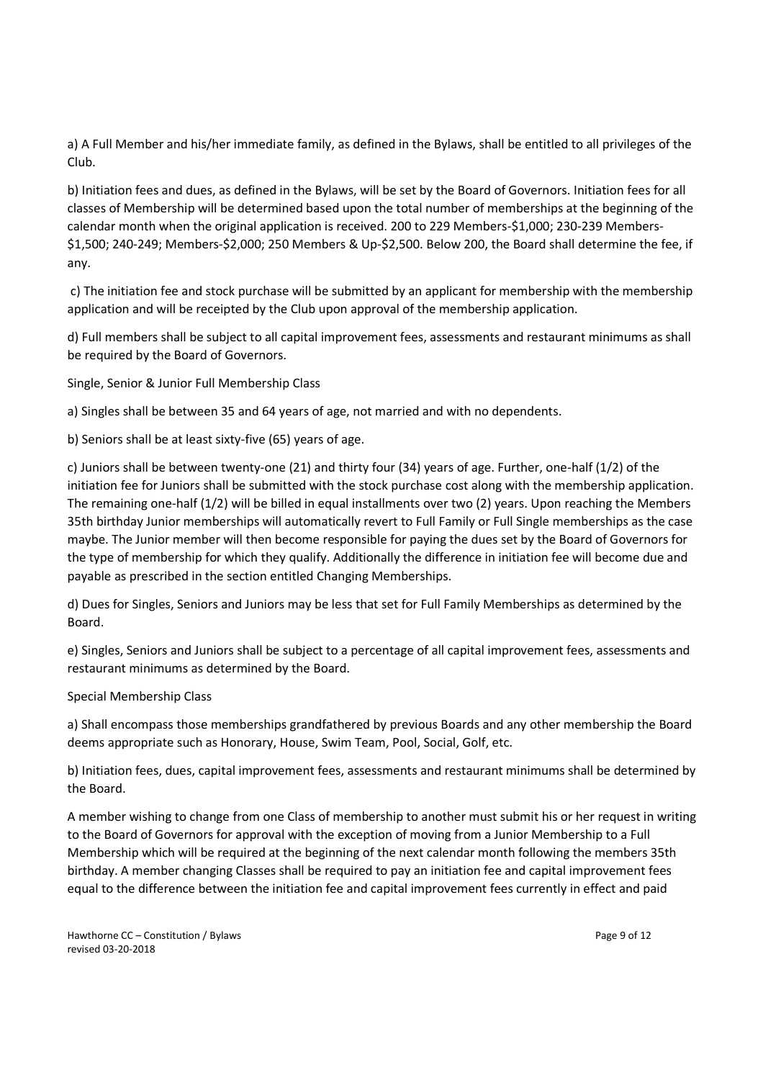a) A Full Member and his/her immediate family, as defined in the Bylaws, shall be entitled to all privileges of the Club.

b) Initiation fees and dues, as defined in the Bylaws, will be set by the Board of Governors. Initiation fees for all classes of Membership will be determined based upon the total number of memberships at the beginning of the calendar month when the original application is received. 200 to 229 Members-\$1,000; 230-239 Members- \$1,500; 240-249; Members-\$2,000; 250 Members & Up-\$2,500. Below 200, the Board shall determine the fee, if any.

c) The initiation fee and stock purchase will be submitted by an applicant for membership with the membership application and will be receipted by the Club upon approval of the membership application.

d) Full members shall be subject to all capital improvement fees, assessments and restaurant minimums as shall be required by the Board of Governors.

Single, Senior & Junior Full Membership Class

a) Singles shall be between 35 and 64 years of age, not married and with no dependents.

b) Seniors shall be at least sixty-five (65) years of age.

c) Juniors shall be between twenty-one (21) and thirty four (34) years of age. Further, one-half (1/2) of the initiation fee for Juniors shall be submitted with the stock purchase cost along with the membership application. The remaining one-half (1/2) will be billed in equal installments over two (2) years. Upon reaching the Members 35th birthday Junior memberships will automatically revert to Full Family or Full Single memberships as the case maybe. The Junior member will then become responsible for paying the dues set by the Board of Governors for the type of membership for which they qualify. Additionally the difference in initiation fee will become due and payable as prescribed in the section entitled Changing Memberships.

d) Dues for Singles, Seniors and Juniors may be less that set for Full Family Memberships as determined by the Board.

e) Singles, Seniors and Juniors shall be subject to a percentage of all capital improvement fees, assessments and restaurant minimums as determined by the Board.

Special Membership Class

a) Shall encompass those memberships grandfathered by previous Boards and any other membership the Board deems appropriate such as Honorary, House, Swim Team, Pool, Social, Golf, etc.

b) Initiation fees, dues, capital improvement fees, assessments and restaurant minimums shall be determined by the Board.

A member wishing to change from one Class of membership to another must submit his or her request in writing to the Board of Governors for approval with the exception of moving from a Junior Membership to a Full Membership which will be required at the beginning of the next calendar month following the members 35th birthday. A member changing Classes shall be required to pay an initiation fee and capital improvement fees equal to the difference between the initiation fee and capital improvement fees currently in effect and paid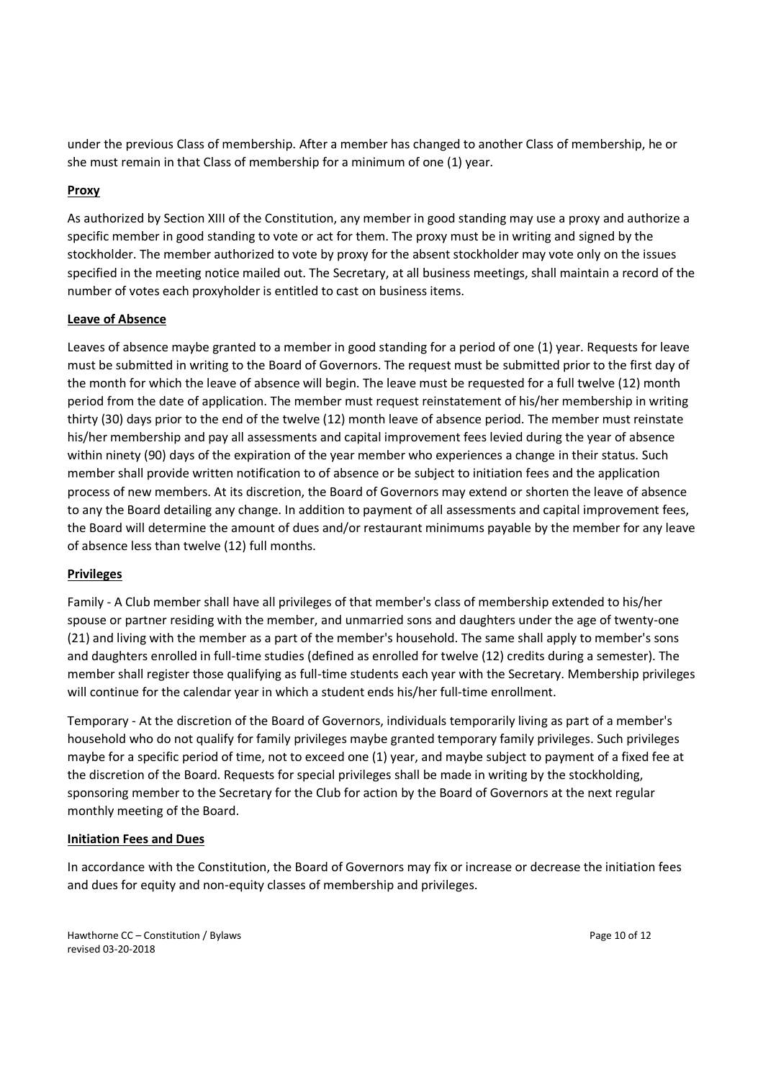under the previous Class of membership. After a member has changed to another Class of membership, he or she must remain in that Class of membership for a minimum of one (1) year.

## **Proxy**

As authorized by Section XIII of the Constitution, any member in good standing may use a proxy and authorize a specific member in good standing to vote or act for them. The proxy must be in writing and signed by the stockholder. The member authorized to vote by proxy for the absent stockholder may vote only on the issues specified in the meeting notice mailed out. The Secretary, at all business meetings, shall maintain a record of the number of votes each proxyholder is entitled to cast on business items.

## **Leave of Absence**

Leaves of absence maybe granted to a member in good standing for a period of one (1) year. Requests for leave must be submitted in writing to the Board of Governors. The request must be submitted prior to the first day of the month for which the leave of absence will begin. The leave must be requested for a full twelve (12) month period from the date of application. The member must request reinstatement of his/her membership in writing thirty (30) days prior to the end of the twelve (12) month leave of absence period. The member must reinstate his/her membership and pay all assessments and capital improvement fees levied during the year of absence within ninety (90) days of the expiration of the year member who experiences a change in their status. Such member shall provide written notification to of absence or be subject to initiation fees and the application process of new members. At its discretion, the Board of Governors may extend or shorten the leave of absence to any the Board detailing any change. In addition to payment of all assessments and capital improvement fees, the Board will determine the amount of dues and/or restaurant minimums payable by the member for any leave of absence less than twelve (12) full months.

## **Privileges**

Family - A Club member shall have all privileges of that member's class of membership extended to his/her spouse or partner residing with the member, and unmarried sons and daughters under the age of twenty-one (21) and living with the member as a part of the member's household. The same shall apply to member's sons and daughters enrolled in full-time studies (defined as enrolled for twelve (12) credits during a semester). The member shall register those qualifying as full-time students each year with the Secretary. Membership privileges will continue for the calendar year in which a student ends his/her full-time enrollment.

Temporary - At the discretion of the Board of Governors, individuals temporarily living as part of a member's household who do not qualify for family privileges maybe granted temporary family privileges. Such privileges maybe for a specific period of time, not to exceed one (1) year, and maybe subject to payment of a fixed fee at the discretion of the Board. Requests for special privileges shall be made in writing by the stockholding, sponsoring member to the Secretary for the Club for action by the Board of Governors at the next regular monthly meeting of the Board.

## **Initiation Fees and Dues**

In accordance with the Constitution, the Board of Governors may fix or increase or decrease the initiation fees and dues for equity and non-equity classes of membership and privileges.

Hawthorne CC – Constitution / Bylaws Page 10 of 12 revised 03-20-2018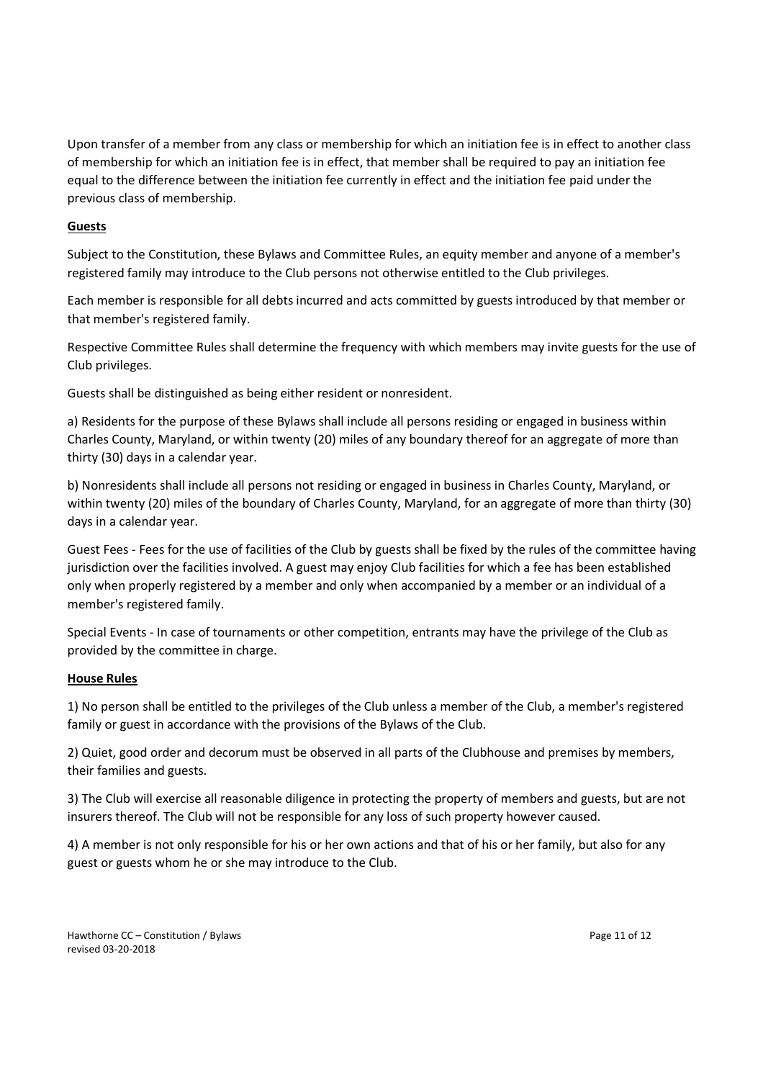Upon transfer of a member from any class or membership for which an initiation fee is in effect to another class of membership for which an initiation fee is in effect, that member shall be required to pay an initiation fee equal to the difference between the initiation fee currently in effect and the initiation fee paid under the previous class of membership.

## **Guests**

Subject to the Constitution, these Bylaws and Committee Rules, an equity member and anyone of a member's registered family may introduce to the Club persons not otherwise entitled to the Club privileges.

Each member is responsible for all debts incurred and acts committed by guests introduced by that member or that member's registered family.

Respective Committee Rules shall determine the frequency with which members may invite guests for the use of Club privileges.

Guests shall be distinguished as being either resident or nonresident.

a) Residents for the purpose of these Bylaws shall include all persons residing or engaged in business within Charles County, Maryland, or within twenty (20) miles of any boundary thereof for an aggregate of more than thirty (30) days in a calendar year.

b) Nonresidents shall include all persons not residing or engaged in business in Charles County, Maryland, or within twenty (20) miles of the boundary of Charles County, Maryland, for an aggregate of more than thirty (30) days in a calendar year.

Guest Fees - Fees for the use of facilities of the Club by guests shall be fixed by the rules of the committee having jurisdiction over the facilities involved. A guest may enjoy Club facilities for which a fee has been established only when properly registered by a member and only when accompanied by a member or an individual of a member's registered family.

Special Events - In case of tournaments or other competition, entrants may have the privilege of the Club as provided by the committee in charge.

## **House Rules**

1) No person shall be entitled to the privileges of the Club unless a member of the Club, a member's registered family or guest in accordance with the provisions of the Bylaws of the Club.

2) Quiet, good order and decorum must be observed in all parts of the Clubhouse and premises by members, their families and guests.

3) The Club will exercise all reasonable diligence in protecting the property of members and guests, but are not insurers thereof. The Club will not be responsible for any loss of such property however caused.

4) A member is not only responsible for his or her own actions and that of his or her family, but also for any guest or guests whom he or she may introduce to the Club.